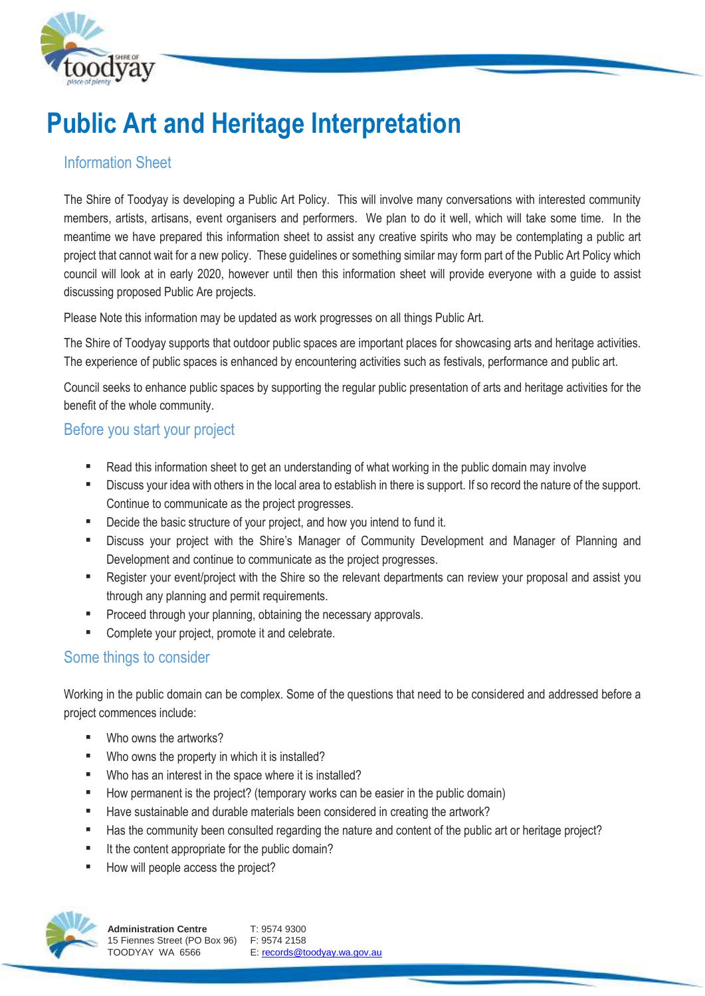

## **Public Art and Heritage Interpretation**

## Information Sheet

The Shire of Toodyay is developing a Public Art Policy. This will involve many conversations with interested community members, artists, artisans, event organisers and performers. We plan to do it well, which will take some time. In the meantime we have prepared this information sheet to assist any creative spirits who may be contemplating a public art project that cannot wait for a new policy. These guidelines or something similar may form part of the Public Art Policy which council will look at in early 2020, however until then this information sheet will provide everyone with a guide to assist discussing proposed Public Are projects.

Please Note this information may be updated as work progresses on all things Public Art.

The Shire of Toodyay supports that outdoor public spaces are important places for showcasing arts and heritage activities. The experience of public spaces is enhanced by encountering activities such as festivals, performance and public art.

Council seeks to enhance public spaces by supporting the regular public presentation of arts and heritage activities for the benefit of the whole community.

## Before you start your project

- Read this information sheet to get an understanding of what working in the public domain may involve
- Discuss your idea with others in the local area to establish in there is support. If so record the nature of the support. Continue to communicate as the project progresses.
- Decide the basic structure of your project, and how you intend to fund it.
- Discuss your project with the Shire's Manager of Community Development and Manager of Planning and Development and continue to communicate as the project progresses.
- Register your event/project with the Shire so the relevant departments can review your proposal and assist you through any planning and permit requirements.
- **Proceed through your planning, obtaining the necessary approvals.**
- Complete your project, promote it and celebrate.

## Some things to consider

Working in the public domain can be complex. Some of the questions that need to be considered and addressed before a project commences include:

- Who owns the artworks?
- **Who owns the property in which it is installed?**
- Who has an interest in the space where it is installed?
- How permanent is the project? (temporary works can be easier in the public domain)
- Have sustainable and durable materials been considered in creating the artwork?
- Has the community been consulted regarding the nature and content of the public art or heritage project?
- It the content appropriate for the public domain?
- How will people access the project?